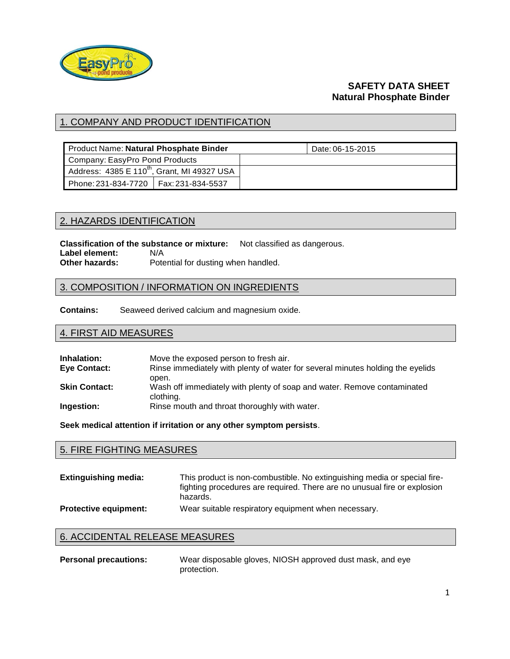

## **SAFETY DATA SHEET Natural Phosphate Binder**

# 1. COMPANY AND PRODUCT IDENTIFICATION

| Product Name: Natural Phosphate Binder                  | Date: 06-15-2015 |
|---------------------------------------------------------|------------------|
| Company: EasyPro Pond Products                          |                  |
| Address: 4385 E 110 <sup>th</sup> , Grant, MI 49327 USA |                  |
| Phone: 231-834-7720   Fax: 231-834-5537                 |                  |

### 2. HAZARDS IDENTIFICATION

**Classification of the substance or mixture:** Not classified as dangerous. **Label element:** N/A **Other hazards:** Potential for dusting when handled.

### 3. COMPOSITION / INFORMATION ON INGREDIENTS

**Contains:** Seaweed derived calcium and magnesium oxide.

# 4. FIRST AID MEASURES

| Inhalation:          | Move the exposed person to fresh air.                                                   |
|----------------------|-----------------------------------------------------------------------------------------|
| Eye Contact:         | Rinse immediately with plenty of water for several minutes holding the eyelids<br>open. |
| <b>Skin Contact:</b> | Wash off immediately with plenty of soap and water. Remove contaminated<br>clothing.    |
| Ingestion:           | Rinse mouth and throat thoroughly with water.                                           |

**Seek medical attention if irritation or any other symptom persists**.

| <b>5. FIRE FIGHTING MEASURES</b> |                                                                                                                                                                  |  |
|----------------------------------|------------------------------------------------------------------------------------------------------------------------------------------------------------------|--|
| <b>Extinguishing media:</b>      | This product is non-combustible. No extinguishing media or special fire-<br>fighting procedures are required. There are no unusual fire or explosion<br>hazards. |  |
| <b>Protective equipment:</b>     | Wear suitable respiratory equipment when necessary.                                                                                                              |  |

# 6. ACCIDENTAL RELEASE MEASURES

**Personal precautions:** Wear disposable gloves, NIOSH approved dust mask, and eye protection.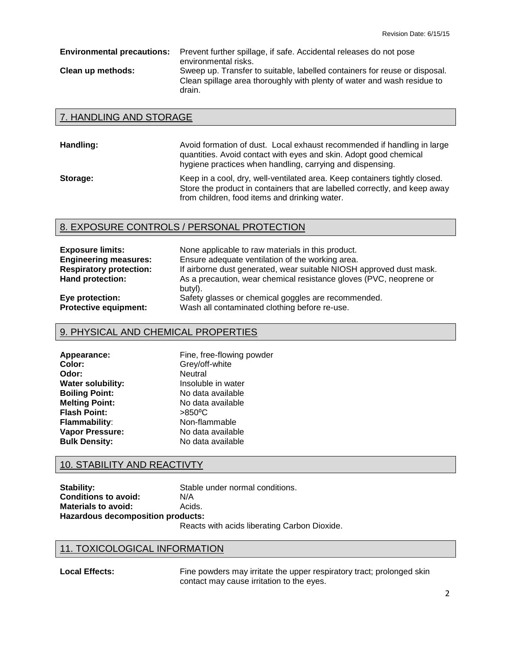**Environmental precautions:** Prevent further spillage, if safe. Accidental releases do not pose environmental risks. **Clean up methods:** Sweep up. Transfer to suitable, labelled containers for reuse or disposal. Clean spillage area thoroughly with plenty of water and wash residue to drain.

#### 7. HANDLING AND STORAGE

| Handling: | Avoid formation of dust. Local exhaust recommended if handling in large<br>quantities. Avoid contact with eyes and skin. Adopt good chemical<br>hygiene practices when handling, carrying and dispensing. |
|-----------|-----------------------------------------------------------------------------------------------------------------------------------------------------------------------------------------------------------|
| Storage:  | Keep in a cool, dry, well-ventilated area. Keep containers tightly closed.<br>Store the product in containers that are labelled correctly, and keep away<br>from children, food items and drinking water. |

## 8. EXPOSURE CONTROLS / PERSONAL PROTECTION

| <b>Exposure limits:</b>        | None applicable to raw materials in this product.                             |
|--------------------------------|-------------------------------------------------------------------------------|
| <b>Engineering measures:</b>   | Ensure adequate ventilation of the working area.                              |
| <b>Respiratory protection:</b> | If airborne dust generated, wear suitable NIOSH approved dust mask.           |
| Hand protection:               | As a precaution, wear chemical resistance gloves (PVC, neoprene or<br>butyl). |
| Eye protection:                | Safety glasses or chemical goggles are recommended.                           |
| <b>Protective equipment:</b>   | Wash all contaminated clothing before re-use.                                 |

### 9. PHYSICAL AND CHEMICAL PROPERTIES

| Appearance:           | Fine, free-flowing powder |  |
|-----------------------|---------------------------|--|
| Color:                | Grey/off-white            |  |
| Odor:                 | Neutral                   |  |
| Water solubility:     | Insoluble in water        |  |
| <b>Boiling Point:</b> | No data available         |  |
| <b>Melting Point:</b> | No data available         |  |
| <b>Flash Point:</b>   | $>850^{\circ}$ C          |  |
| Flammability:         | Non-flammable             |  |
| Vapor Pressure:       | No data available         |  |
| <b>Bulk Density:</b>  | No data available         |  |
|                       |                           |  |

### 10. STABILITY AND REACTIVTY

| Stability:                               | Stable i |
|------------------------------------------|----------|
| <b>Conditions to avoid:</b>              | N/A      |
| <b>Materials to avoid:</b>               | Acids.   |
| <b>Hazardous decomposition products:</b> |          |

**Ie under normal conditions.** 

Reacts with acids liberating Carbon Dioxide.

### 11. TOXICOLOGICAL INFORMATION

Local Effects: Fine powders may irritate the upper respiratory tract; prolonged skin contact may cause irritation to the eyes.